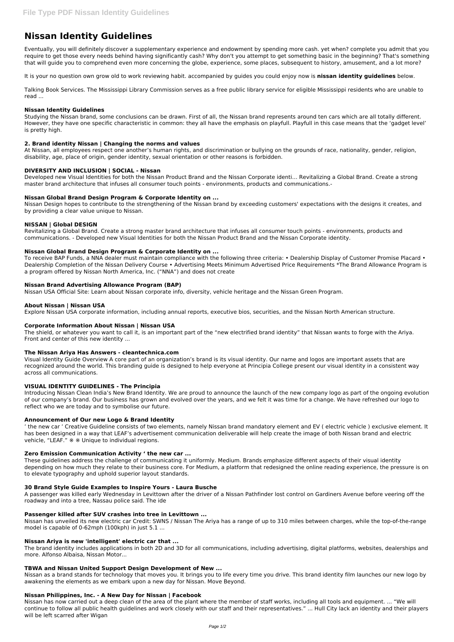# **Nissan Identity Guidelines**

Eventually, you will definitely discover a supplementary experience and endowment by spending more cash. yet when? complete you admit that you require to get those every needs behind having significantly cash? Why don't you attempt to get something basic in the beginning? That's something that will guide you to comprehend even more concerning the globe, experience, some places, subsequent to history, amusement, and a lot more?

It is your no question own grow old to work reviewing habit. accompanied by guides you could enjoy now is **nissan identity guidelines** below.

Talking Book Services. The Mississippi Library Commission serves as a free public library service for eligible Mississippi residents who are unable to read ...

## **Nissan Identity Guidelines**

Studying the Nissan brand, some conclusions can be drawn. First of all, the Nissan brand represents around ten cars which are all totally different. However, they have one specific characteristic in common: they all have the emphasis on playfull. Playfull in this case means that the 'gadget level' is pretty high.

# **2. Brand identity Nissan | Changing the norms and values**

At Nissan, all employees respect one another's human rights, and discrimination or bullying on the grounds of race, nationality, gender, religion, disability, age, place of origin, gender identity, sexual orientation or other reasons is forbidden.

To receive BAP Funds, a NNA dealer must maintain compliance with the following three criteria: • Dealership Display of Customer Promise Placard • Dealership Completion of the Nissan Delivery Course • Advertising Meets Minimum Advertised Price Requirements \*The Brand Allowance Program is a program offered by Nissan North America, Inc. ("NNA") and does not create

# **DIVERSITY AND INCLUSION | SOCIAL - Nissan**

Developed new Visual Identities for both the Nissan Product Brand and the Nissan Corporate identi… Revitalizing a Global Brand. Create a strong master brand architecture that infuses all consumer touch points - environments, products and communications.-

# **Nissan Global Brand Design Program & Corporate Identity on ...**

Nissan Design hopes to contribute to the strengthening of the Nissan brand by exceeding customers' expectations with the designs it creates, and by providing a clear value unique to Nissan.

# **NISSAN | Global DESIGN**

Revitalizing a Global Brand. Create a strong master brand architecture that infuses all consumer touch points - environments, products and communications. - Developed new Visual Identities for both the Nissan Product Brand and the Nissan Corporate identity.

## **Nissan Global Brand Design Program & Corporate Identity on ...**

# **Nissan Brand Advertising Allowance Program (BAP)**

Nissan USA Official Site: Learn about Nissan corporate info, diversity, vehicle heritage and the Nissan Green Program.

## **About Nissan | Nissan USA**

Explore Nissan USA corporate information, including annual reports, executive bios, securities, and the Nissan North American structure.

## **Corporate Information About Nissan | Nissan USA**

The shield, or whatever you want to call it, is an important part of the "new electrified brand identity" that Nissan wants to forge with the Ariya. Front and center of this new identity ...

## **The Nissan Ariya Has Answers - cleantechnica.com**

Visual Identity Guide Overview A core part of an organization's brand is its visual identity. Our name and logos are important assets that are recognized around the world. This branding guide is designed to help everyone at Principia College present our visual identity in a consistent way across all communications.

## **VISUAL IDENTITY GUIDELINES - The Principia**

Introducing Nissan Clean India's New Brand Identity. We are proud to announce the launch of the new company logo as part of the ongoing evolution of our company's brand. Our business has grown and evolved over the years, and we felt it was time for a change. We have refreshed our logo to reflect who we are today and to symbolise our future.

## **Announcement of Our new Logo & Brand Identity**

' the new car ' Creative Guideline consists of two elements, namely Nissan brand mandatory element and EV ( electric vehicle ) exclusive element. It has been designed in a way that LEAF's advertisement communication deliverable will help create the image of both Nissan brand and electric vehicle, "LEAF." ※ ※ Unique to individual regions.

## **Zero Emission Communication Activity ' the new car ...**

These guidelines address the challenge of communicating it uniformly. Medium. Brands emphasize different aspects of their visual identity depending on how much they relate to their business core. For Medium, a platform that redesigned the online reading experience, the pressure is on to elevate typography and uphold superior layout standards.

## **30 Brand Style Guide Examples to Inspire Yours - Laura Busche**

A passenger was killed early Wednesday in Levittown after the driver of a Nissan Pathfinder lost control on Gardiners Avenue before veering off the roadway and into a tree, Nassau police said. The ide

#### **Passenger killed after SUV crashes into tree in Levittown ...**

Nissan has unveiled its new electric car Credit: SWNS / Nissan The Ariya has a range of up to 310 miles between charges, while the top-of-the-range model is capable of 0-62mph (100kph) in just 5.1 ...

#### **Nissan Ariya is new 'intelligent' electric car that ...**

The brand identity includes applications in both 2D and 3D for all communications, including advertising, digital platforms, websites, dealerships and more. Alfonso Albaisa, Nissan Motor...

#### **TBWA and Nissan United Support Design Development of New ...**

Nissan as a brand stands for technology that moves you. It brings you to life every time you drive. This brand identity film launches our new logo by awakening the elements as we embark upon a new day for Nissan. Move Beyond.

#### **Nissan Philippines, Inc. - A New Day for Nissan | Facebook**

Nissan has now carried out a deep clean of the area of the plant where the member of staff works, including all tools and equipment. ... "We will continue to follow all public health guidelines and work closely with our staff and their representatives." ... Hull City lack an identity and their players will be left scarred after Wigan